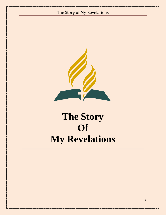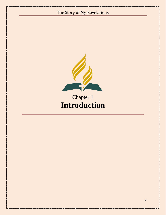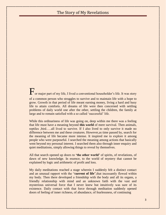For major part of my life, I lived a conventional householder"s life. It was story of a common person who struggles to survive and to maintain life with a hope to grow. Growth in that period of life meant earning money, living a hard and busy life to attain comforts. All dreams of life were then concerned with settling problems of daily world one after the other, settling the children, the family at large and to remain satisfied with a so called "successful" life.

While this ordinariness of life was going on, deep within me there was a feeling that life must have a meaning beyond **this world** of mere survival. Then animals, reptiles ,bird…..all lived to survive. If I also lived to only survive it made no difference between me and these creatures. However,as time passed by, search for the meaning of life became more intense. It inspired me to explore it among people who were purposeful. I searched the meaning among actions that basically went beyond my personal interest. I searched them also through inner enquiry and quiet meditations, simply allowing things to reveal by themselves.

All that search opened up doors to **"the other world"** of spirits, of revelations, of dawn of new knowledge. In essence, to the world of mystery that cannot be explained by logic and arithmetic of profit and loss.

My daily meditations reached a stage wherein I suddenly felt a distinct contact and an unusual rapport with the "**current of life**",that incessantly flowed within my body. Then there developed a friendship with the body and all its organs, a friendly relationship with mind and an unknown faith with the vast and mysterious universal force that I never knew but intuitively was sure of its existence. Daily contact with that force through meditation suddenly opened doors of feeling of inner richness, of abundance, of fearlessness, of continuing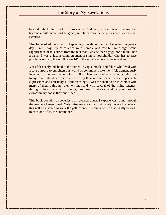beyond this limited period of existence. Suddenly a commoner like me had become a millionaire, just by grace, simply because he deeply aspired for an inner richness.

That force asked me to record happenings, revelations and all I was learning every day. I must say, my discoveries were humble and few but were significant. Significance of this arises from the fact that I was neither a yogi, nor a monk, nor a fakir. I was a just a common man, a simple householder who has to face problems of daily life of **"this world"** in the same way as anyone else does.

Yet I felt deeply indebted to the authentic yogis, monks and fakirs who lived with a sole purpose to enlighten this world of commoners like me, I felt tremendously indebted to modern day scholars, philosophers and authentic ascetics who live today in all latitudes of earth enriched by their unusual experiences, impeccable expressions and unusually skillful teachings. I was fortunate to be in contact with many of them, through their writings and with several of the living legends; through their personal contacts, seminars, retreats and expressions in extraordinary books they published.

This book contains discoveries that revealed unusual experiences to me through the teachers I mentioned. Only mistakes are mine. I sincerely hope all who read this will be inspired to walk the path of inner meaning of life that rightly belongs to each one of us, the commoner.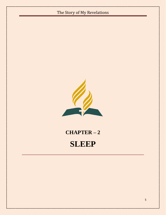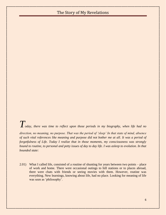$T$ <sub>oday, there was time to reflect upon those periods in my biography, when life had no</sub>

*direction, no meaning, no purpose. That was the period of 'sleep' In that state of mind, absence of such vital references like meaning and purpose did not bother me at all. It was a period of forgetfulness of Life. Today I realize that in those moments, my consciousness was strongly bound to routine, to personal and petty issues of day to day life. I was asleep to evolution. In that bounded state:*

2.01) What I called life, consisted of a routine of shunting for years between two points – place of work and home. There were occasional outings to hill stations or to places abroad, there were chats with friends or seeing movies with them. However, routine was everything. New learnings, knowing about life, had no place. Looking for meaning of life was seen as 'philosophy'.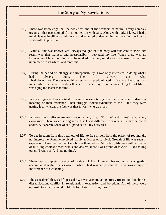- 2.02) There was knowledge that the body was one of the wonders of nature, a very complex organism that gets spoiled if it is not kept fit with care. Along with body, I knew I had a mind. It was intelligence within me and required understanding and training on how to work with its potential.
- 2.03) While all this was known, yet I always thought that the body will take care of itself. Net result was that laziness and irresponsibility pervaded my life. When there was no knowledge of how the mind is to be worked upon, my mind was my master that worked upon me with its whims and tantrums.
- 2.04) During the period of lethargy and irresponsibility, I was only interested in doing what I had always done. Then I always got what I had always got. There was nothing new as old predominated. Life was exhausting itself in activities that were repeating themselves every day. Routine was taking toll of life. It was aging me faster than time.
- 2.05) In my arrogance, I was critical of those who were trying other paths in order to discover meaning of their existence. Their struggle looked ridiculous to me. I felt they were getting lost, whereas the fact was that it was I who was lost.
- 2.06) In those days self-centeredness governed my life. 'I', 'me' and 'mine' ruled every expression. There was a strong sense that I was different from others – either below or above. A "separate sense of self" pervaded all my activities.
- 2.07) To get freedom from this pettiness of life, to free myself from the prison of routine, did not interest me. Routine involved mainly activities of survival. Growth of life was seen in expansion of routine that kept me busier than before. More busy life was with activities of fulfilling endless needs; wants and desires, more I was proud of myself. I liked telling others 'I was busy', 'I had no time'.
- 2.08) There was complete absence of review of life. I never checked what was getting accumulated within me as against what I had originally wanted. There was complete indifference to awakening.
- 2.09) Thus I realized that, as life passed by, I was accumulating stress, frustration, loneliness, dissatisfaction, conflict in relationships, exhaustion and boredom. All of these were opposite to what I wanted in life, before I started being "busy".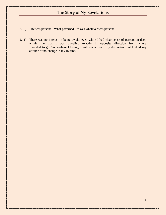- 2.10) Life was personal. What governed life was whatever was personal.
- 2.11) There was no interest in being awake even while I had clear sense of perception deep within me that I was traveling exactly in opposite direction from where I wanted to go. Somewhere I knew,, I will never reach my destination but I liked my attitude of no-change in my routine.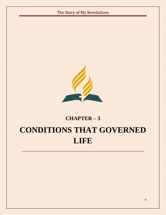

# **CHAPTER – 3 CONDITIONS THAT GOVERNED LIFE**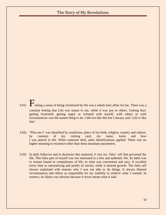3.01)  $\mathbf{F}_{\text{eeling a sense of being victimized by life was a whole time affair for me. There was a}$ constant feeling that Life was unjust to me, while it was just to others. Getting hurt, getting frustrated, getting angry or irritated with myself, with others or with circumstances was the easiest thing to do. I did not like this but I always said "Life is like that'.

- 3.02) "Who am I" was identified by conditions, place of my birth, religion, country and culture, by contents of my visiting card, my name, looks and how I was placed in life. When someone died, same identifications applied. There was no higher meaning to existence other than these mundane parameters.
- 3.03) In daily behavior and in decisions that mattered, it was my "false" self that governed the life. This false part of myself was not interested in a free and authentic life. Its habit was to remain bound to compulsions of life, to what was convenient and easy. It excelled every time in rationalizing and justify its inertia, while it desired growth. The false self always explained with reasons why I was not able to do things. It always blamed circumstances and others as responsible for my inability to achieve what I wanted. In essence, its falsity was obvious because it never meant what it said.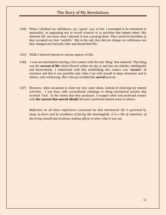- 3.04) When I disliked my selfishness, my "egoist" way of life, I pretended to be interested in spirituality, in supporting arts or occult sciences or in activities that helped others. My interests did not mean what i showed. It was a passing show. They saved me boredom as they occupied my time "usefully". But in the end, they did not change my selfishness nor they changed my basically false and dissatisfied life.
- 3.05) While I showed interest in various aspects of life,
- 3.06) I was not interested in having a live contact with the real "thing" that mattered. That thing was the **current of life** which flowed within me day in and day out silently, intelligently and benevolently. I understood well that establishing this contact was **"essence"** of existence and that it was possible only when I sat with myself in deep relaxation and in silence, only witnessing. But I always avoided this **sacred** process.
- 3.07) However, when occasions to close my eyes came about, instead of silencing my mental activities, I was busy with conventional chantings or doing mechanical prayers that invoked "God". In the clutter that they produced, I escaped silent and profound contact with **the current that moved silently** because I preferred mental noise to silence.

*Reflection on all these experiences convinced me that mechanical life is governed by sleep, by fears and by avoidance of facing life meaningfully. It is a life of repetition, of deceiving oneself and of always making efforts to show what it was not.*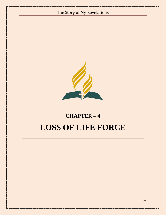# The Story of My Revelations **CHAPTER – 4 LOSS OF LIFE FORCE**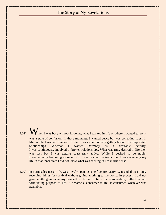- 4.01)  $\bf{W}$  hen I was busy without knowing what I wanted in life or where I wanted to go, it was a state of confusion. In those moments, I wanted peace but was collecting stress in life. While I wanted freedom in life, it was continuously getting bound in complicated relationships. Whereas I wanted harmony as a desirable activity, I was continuously involved in broken relationships. What was truly desired in life then was rest but I was getting ceaselessly active. While I desired to be noble, I was actually becoming more selfish. I was in clear contradiction. It was reversing my life.In that inner state I did not know what was seeking in life in true sense.
- 4.02) In purposelessness , life, was merely spent as a self-centred activity. It ended up in only receiving things for survival without giving anything to the world. In process, I did not give anything to even my ownself in terms of time for rejuvenation, reflection and formulating purpose of life. It became a consumerist life. It consumed whatever was available.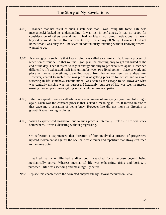- 4.03) I realized that net result of such a state was that I was losing life force. Life was mechanical.I lacked its understanding. It was lost in selfishness. It had no scope for consideration of others around me. It had no ideals, no lofted motivations that went beyond personal interest. Routine was its way. I called myself "busy". However I did not know what I was busy for. I believed in continuously traveling without knowing where I wanted to go.
- 4.04) Psychologically such life that I was living was called a **cathartic** life. It was a process of repetition of routine. In that routine I got up in the morning only to get exhausted at the end of the day. Then it rested to regain energy but only to get exhausted again. Described differently, life exhausted itself in shunting between two fixed points – place of work and place of home. Sometimes, travelling away from home was seen as a departure. However, central to such a life was process of getting pleasure for senses and to avoid suffering in life somehow. Entertainment was seen as the escape route. However what was centrally missing was the purpose. Mistakenly, purpose of life was seen in merely earning money, prestige or getting sex as a whole time occupation.
- 4.05) Life force spent in such a cathartic way was a process of emptying myself and fulfilling it again. Such was the constant process that lacked a meaning in life. It moved in circles that gave me a sensation of being busy. However life did not move in direction of growth,it was moving in circles.
- 4.06) When I experienced stagnation due to such process, internally I felt as if life was stuck somewhere.. It was exhausting without progressing.

On reflection I experienced that direction of life involved a process of progressive upward movement as against the one that was circular and repetitive that always returned to the same point.

I realized that when life had a direction, it searched for a purpose beyond being mechanically active. Whereas mechanical life was exhausting, tiring and boring, a purposeful life was ascending and meaningfully active.

Note : Replace this chapter with the corrected chapter file by Dhaval received on Gmail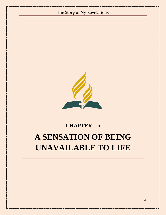

# **CHAPTER – 5 A SENSATION OF BEING UNAVAILABLE TO LIFE**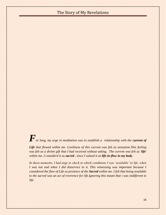*F*<sub>or long, my urge in meditation was to establish a relationship with the *current of*</sub>

*Life that flowed within me. Liveliness of this current was felt as sensation.This feeling was felt as a divine gift that I had received without asking. The current was felt as 'life' within me. I considerd it as sacred , since I valued it as life-in-flow in my body.*

*In those moments, I had urge to check in which conditions I was 'available' to life, when I was not and when I did disservice to it. This witnessing was important because I considered the flow of Life as presence of the Sacred within me. I felt that being available to the sacred was an act of reverence for life.Ignoring this meant that i was indifferent to life.*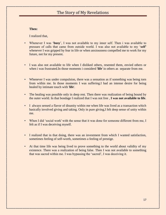#### **Then:**

I realized that,

- Whenever I was "**busy**", I was not available to my inner self. Then i was available to pressure of calls that came from outside world. I was also not available to my "**self"**  whenever I was gripped by fear in life or when anxiousness compelled me to work for my future, not for my present.
- I was also not available to life when I disliked others, resented them, envied others or when i was frustrated.In those moments i considerd '**life**' in others as separate from me.
- Whenever I was under compulsion, there was a sensation as if something was being torn from within me. In those moments I was suffering.I had an intense desire for being healed by intimate touch with '**life**'.
- The healing was possible only in deep rest. Then there was realization of being bound by the outer world. In that bondage I realized that I was not free , **I was not available to life**.
- I always sensed a flavor of disunity within me when life was lived as a transaction which basically involved giving and taking. Only in pure giving,I felt deep sense of unity within me.
- When I did 'social work' with the sense that it was done for someone different from me, I felt as if I was deceiving myself.
- I realized that in that doing, there was an investment from which I wanted satisfaction, sometimes feeling of self-worth, sometimes a feeling of prestige.
- At that time life was being lived to prove something to the world about validity of my existence. There was a realization of being false. Then I was not available to something that was sacred within me. I was bypassing the "sacred", I was deceiving it.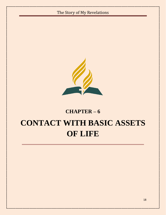

#### **CHAPTER – 6**

### **CONTACT WITH BASIC ASSETS OF LIFE**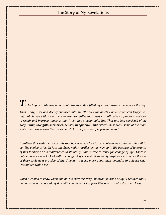# *To be happy in life was a constant obsession that filled my consciousness throughout the day.*

*Then 1 day, I sat and deeply enquired into myself about the assets I have which can trigger an internal change within me. I was amazed to realize that I was virtually given a precious tool-box to repair and improve things so that I can live a meaningful life. That tool-box consisted of my body, mind, thoughts, memories, senses, imagination and breath these were some of the main tools. I had never used them consciously for the purpose of improving myself.*

*I realized that with the use of this tool box one was free to be whatever he consented himself to be. The choice is his. In fact one faces major hurdles on his way up in life because of ignorance of this toolbox or his indifference to its utility. One is free to rebel for change of life. There is only ignorance and lack of will to change. A great insight suddenly inspired me to learn the use of these tools as a practice of life. I began to learn more about their potential to unleash what was hidden within me.*

*When I wanted to know when and how to start this very important mission of life, I realized that I had unknowingly packed my day with complete lack of priorities and an awful disorder. Most*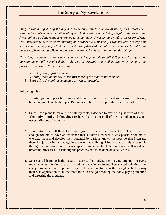*things I was doing during the day had no relationship to intentional use of these tools.There were no thoughts on how activities of my day had relationship to being useful to life. Everything I was doing was done without reference to being happy. I was living by habits, pressure of what was immediately needed or by imitating how others lived. Basically I was not left with any time to act upon this very important aspect. Life was filled with activities that were irrelevant to my purpose of being happy. Being happy was a mere desire, it was not an intention of life.* 

*First thing I wanted to know was how to create time from this so called 'busyness' of life. Upon questioning myself, I realized that only way of creating time and putting intention into this project was based on three simple things :*

- *1. To get up early, just by an hour.*
- *2. To study more about how to use just three of the tools in the toolbox.*
- *3. Start using the tool immediately , as well as possible.*

Following this:-

- 1. I started getting up early, from usual time of 8 am to 7 am and took care to finish my brushing, toilet and bath in just 15 minutes to be dressed up in shorts and T-shirt.
- 2. Since I had plans to make use of all my tools, I decided to start with just three of them : **The body, mind and thought**. I realized that I can use all of them simultaneously, not necessarily one after another.
- 3. I understood that all these tools were given to me in their basic form. That form was enough for me to have an existence that survives.However it was possible for me to energize them and develop their potential by various known methods so that I can use them for just an initial change in the way I was living. I found that all this is possible through certain work with images, specific movements of the body and well regulated breathing processes,. Essentially the practices had to be done on a daily basis.
- 4. So I started learning hatha yoga to exercise the body.Started paying attention to every movement as the first use of my minds capacity to focus.Then started thinking how every movement can improve everyday to give creativity to the thoughts. In this way their was application of all the three tools in one go : moving the body, paying attention and directing the thoughts.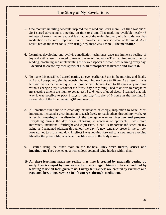- 5. One month"s unfailing schedule inspired me to read and learn more. But time was short. So I stared advancing my getting up time to 6 am. That made me available nearly 45 minutes of extra time to read and learn. One of the main discovery of this study was that meditation is the most important tool to re-order the inner software of the mind. As a result, beside the three tools I was using, now there was 1 more : **The meditation**
- **6.** Learning, developing and evolving meditation techniques gave me immense feeling of joy and enthusiasm. I wanted to master the art of meditation.That required more time for reading, practicing and implementing the newer aspects of what I was learning every day. **I decided to create my own spiritual air, an atmosphere to breathe and live in it.**
- 7. To make this possible, I started getting up even earlier at 5 am in the morning and finally at 4 am. I postponed, simultaneously, the morning tea hours to 10 am. As a result , I was left with very creative and quiet, yet productive 6 hours- 4 am to 10 am- every morning without changing my disorder of the 'busy' day. Only thing I had to do was to reorganize my sleeping time in the night to get at least 5 to 6 hours of good sleep. I realized that this way it was possible to pack 2 days in one day-first day of 6 hours in the morning  $\&$ second day of the time remaining10 am onwards.
- 8. All practices filled me with creativity, exuberance of energy, inspiration to write. Most important, it created a great intention to teach freely to reach others through my work. **As a result, amazingly the disorder of the day gave way to direction and purpose.** Everything during the day began changing to newness of approach. I was more motivated, intentional, forthright and expressive. It had its important influence on my aging as I remained pleasant throughout the day. A new tendancy arose in me to look forward not just to a new day. In effect I was looking forward to a new, more evolving life after the present life, whenever this lifes lease in the body is over.
- 9. I started using the other tools in the toolbox. **They were breath, senses and imagination.** They opened up a tremendous potential lying hidden within them.
- **10. All these learnings made me realize that time is created by gradually getting up early. Day is shaped by how we start our mornings. Things in life are modified by learning to use all tools given to us. Energy & freshness are created by exercises and regulated breathing. Newness in life emerges through meditation.**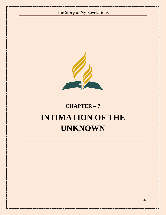

# **CHAPTER – 7 INTIMATION OF THE UNKNOWN**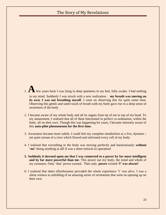- 1.**A**few years back I was lying in deep quietness in my bed, fully awake. I had nothing in my mind. Suddenly I was struck with a new realization : **my breath was moving on its own.** I was not breathing myself. I went on observing this for quite some time. Observing this gentle and suttle touch of breath with my body gave rise to a deep sense of awareness of the body.
- 2. I became aware of my whole body and all its organs from tip of toe to top of my head. To my amazement; I realized that all of them functioned in perfect co-ordination, within the body, all on their own. Though this was happening for years, I became intensely aware of this **auto-pilot phenomenon for the first time.**
- 3. Awareness became more subtle. I could feel my complete metabolism as a live, dynamic ; yet quiet stream of a river which flowed and enlivened every cell of my body.
- 4. I realized that everything in the body was moving perfectly and harmoniously **without "me"** doing anything at all**!** It was a sheer miracle in operation**!**
- **5. Suddenly it dawned upon me that I was connected to a power by far more intelligent and by far more powerful than me**. This power ran my body, the mind and whole of my existence. Only "that" power existed. Then only **power** existed **"I" was absent!**
- 6. I realized that sheer effortlessness pervaded the whole experience "I" was alive. I was a silent witness to unfolding of an amazing series of revelations that went on opening up on their own.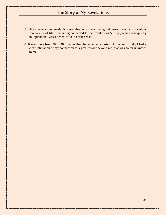- 7. Those revelations made it clear that what was being witnessed was a miraculous spontaneity of life. Remaining connected to that mysterious 'entity', which was quietly in "operation" ,was a benediction in a true sense.
- 8. It may have been 30 to 40 minutes that the experience lasted. At the end, I felt, I had a clear intimation of my connection to a great power beyond me, that was so far unknown to me!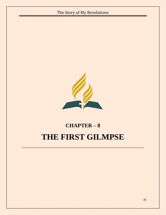

# **CHAPTER – 8 THE FIRST GILMPSE**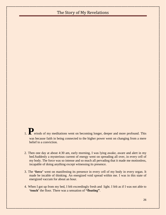1. **P**eriods of my meditations went on becoming longer, deeper and more profound. This was because faith in being connected to the higher power went on changing from a mere belief to a conviction.

- 2. Then one day at about 4:30 am, early morning, I was lying awake, aware and alert in my bed.Suddenly a mysterious current of energy went on spreading all over, in every cell of my body. The force was so intense and so much all pervading that it made me motionless, incapable of doing anything except witnessing its presence.
- 3. The **"force"** went on manifesting its presence in every cell of my body in every organ. It made be incable of thinking. An energized void spread within me. I was in this state of energized vaccum for about an hour.
- 4. When I got up from my bed, I felt exceedingly fresh and light. I felt as if I was not able to **"touch"** the floor. There was a sensation of **"floating"**.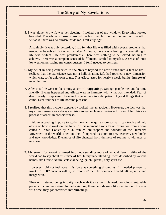5. I was alone. My wife was yet sleeping, I looked out of my window. Everything looked beautiful. The whole of cosmos around me felt friendly. I sat and looked into myself. I felt as if, there was no burden inside me. I felt very light .

Amazingly, it was only yesterday, I had felt that life was filled with several problems that needed to be solved. But now, just after 24 hours, there was a feeling that everything in life was perfect. Life was problemless. There was nothing to be solved, nothing to achieve. There was a complete sense of fulfillment. I smiled to myself !. A sense of inner joy went on pervading my consciousness. I felt I needed to be silent.

- 6. My belief in being connected to **the "force"** beyond me now turned into a fact of life. I realized that the experience was not a hallucination. Life had touched a new dimension which was, so far unknown to me. This effect lasted for nearly a week, but its **'hangover'** never left me.
- 7. After this, life went on becoming a sort of **"happening"**. Strange people met and became friendly. Events happened and effects were in harmony with what was intended. Fear of death nearly disappeared. Fear in life gave way to anticipation of good things that will come. Even routines of life became pleasant.
- 8. I realized that this incident apparently looked like an accident. However, the fact was that my consciousness was always aspiring to get such an experience for long. I felt this as a process of ascent in consciousness.

I felt an ascending impulse to study more and enquire more so that I can teach and help others on how to work on this force. At this moment I got a lot of inspiration from a book called **" Inner Look"** by **Silo**, thinker, philosopher and founder of the Humanist Movement in the world. Then on , the life opened its doors to new teachers, new books and new knowledge. Dynamics of life changed from dullness of routine to vibrance of newness.

9. My search for knowing turned into understanding more of what different faiths of the world had to say about this **force of life**. In my understanding it was described by various names like Divine Nature, celestial being, qi, chi, prana , holy spirit etc.

However I did not feel about this force as something distant, as if it needed prayers to invoke. **"I felt"** oneness with it, it **"touched"** me like someone I could talk to, smile and merge with.

Then on, I started being in daily touch with it as a well planned, conscious, enjoyable periods of communicating. In the beginning, these periods were like meditation. However with time, they got converted into **'meetings'**.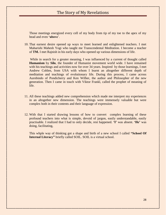Those meetings energized every cell of my body from tip of my toe to the apex of my head and even **"above**".

10. That earnest desire opened up ways to meet learned and enlightened teachers. I met Maharishi Mahesh Yogi who taught me Transcendental Meditation. I become a teacher of **TM.** I met Rajnish in his early days who opened up various dimensions of life.

While in search for a greater meaning, I was influenced by a current of thought called **Humanism** by **Silo**, the founder of Humanist movement world wide. I have remained with his teachings and activities now for over 34 years. Inspired by those learnings, I met Andrew Cohlen, from USA with whom I learnt an altogether different depth of meditation and teachings of evolutionary life. During this process, I came across Aurobindo of Pondicherry and Ken Wilber, the author and Philosopher of the new generation. Then I came in touch with Viktor Frankl, called the prophet of meaning of life.

- 11. All these teachings added new comprehension which made me interpret my experiences in an altogether new dimension. The teachings were immensely valuable but were complex both in their contents and their language of expression.
- 12. With that I started drawing lessons of how to convert complex learning of these profound teachers into what is simple, devoid of jargon, easily understandable, easily practisable. I realized that I had to only decide, rest happened. **"I"** was absent. **"He"** was doing, facilitating,

This whple way of thinking got a shape and birth of a new school I called **"School Of Internal Literacy"** briefly called SOIL. SOIL is a virtual school.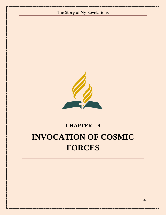

29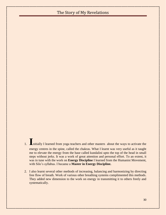- 1. **I**nitially I learned from yoga teachers and other masters about the ways to activate the energy centres in the spine, called the chakras. What I learnt was very useful as it taught me to elevate the energy from the base called kundalini upto the top of the head in small steps without jerks. It was a work of great attention and personal effort. To an extent, it was in tune with the work on **Energy Discipline** I learned from the Humanist Movement, with Silo"s syllabus. I became a **Master in Energy Discipline.**
- 2. I also learnt several other methods of increasing, balancing and harmonizing by directing free flow of breath. Work of various other breathing systems complimented this methods. They added new dimension to the work on energy in transmitting it to others freely and systematically.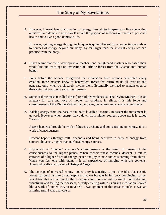3. However, I learnt later that creation of energy through **techniques** was like connecting ourselves to a domestic generator.It served the purpose of sufficing our needs of personal health and to live a good domestic life.

However, gaining energy through techniques is quite different from connecting ourselves to sources of energy beyond our body, by far larger than the internal energy we can produce from the body.

- 4. I then learnt that there were spiritual teachers and enlightened masters who based their whole life and teachings on invocation of infinite forces from the Cosmos into human being.
- 5. Long before the science recognized that emanation from cosmos penetrated every creation, these masters knew of benevolent forces that surround us all over us and penetrate only when we sincerely invoke them. Essentially we need to remain open to their entry into our body and consciousness.
- 6. Some of these masters called these forces of benevolence as "The Divine Mother". It is an allegory for care and love of mother for children. In effect, it is this force and consciousness of the Divine Mother that pervades, penetrates and sustains all existence.
- 7. Raising energy from the base of the body is called "ascent". In ascent the movement is upward. However when energy flows down from higher sources above us, it is called "descent"

Ascent happens through the work of drawing , raising and concentrating on energy. It is a work of consciousness.

Descent happens through faith, openness and being sensitive to entry of energy from sources above us , higher than our local energy sources.

- 8. Experience of "descent" into one"s consciousness is the result of raising of the consciousness to the higher planes. When consciousness ascends, descent is felt as entrance of a higher force of energy, peace and joy as new contents coming from above. When you feel one with them, it is an experience of merging with the contents. Aurobindo calls it a process of **"Integral Yoga**".
- 9. The concept of universal energy looked very fascinating to me. The idea that cosmic forces surround us like an atmosphere that we breathe in felt very convincing to me. Revelation that we can invoke these energies and forces at will by simply concentrating, visualizing and feeling their descent, as truly entering within us during meditation, looked like a work of authenticity to me.I felt, I was ignorant of this great miracle. It was an amazing truth I was unaware of.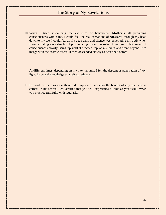10. When I tried visualizing the existence of benevolent **Mother"s** all pervading consciousness within me, I could feel the real sensations of **"descent"** through my head down to my toe. I could feel as if a deep calm and silence was penetrating my body when I was exhaling very slowly . Upon inhaling from the soles of my feet, I felt ascent of consciousness slowly rising up until it reached top of my brain and went beyond it to merge with the cosmic forces. It then descended slowly as described before.

At different times, depending on my internal unity I felt the descent as penetration of joy, light, force and knowledge as a felt experience.

11. I record this here as an authentic description of work for the benefit of any one, who is earnest in his search. Feel assured that you will experience all this as you "will" when you practice truthfully with regularity.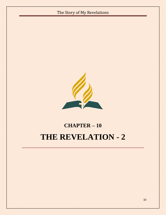

# **CHAPTER – 10 THE REVELATION - 2**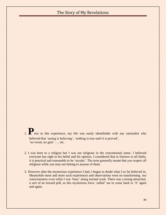1. **P**rior to this experience, my life was easily identifiable with any rationalist who believed that 'seeing is believing', 'nothing is true until it is proved', 'no sweat, no gain' .... etc.

- 2. I was born to a religion but I was not religious in the conventional sense. I believed everyone has right to his belief and his opinion. I considered that in fairness to all faiths, it is practical and reasonable to be "secular". The term generally meant that you respect all religious while you may not belong to anyone of them.
- 3. However after the mysterious experience I had, I began to doubt what I so far believed in. Meanwhile more and more such experiences and observations went on transforming my consciousness even while I was "busy" doing normal work. There was a strong attraction, a sort of an inward pull, as this mysterious force 'called' me to come back to 'it' again and again.